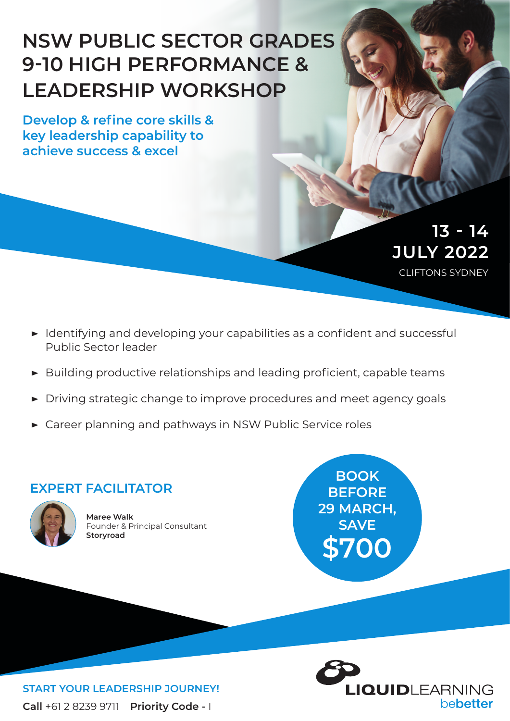# **NSW PUBLIC SECTOR GRADES 9-10 HIGH PERFORMANCE & LEADERSHIP WORKSHOP**

**Develop & refine core skills & key leadership capability to achieve success & excel**

> CLIFTONS SYDNEY **JULY 2022 13 - 14**

- **▶** Identifying and developing your capabilities as a confident and successful Public Sector leader
- **▶** Building productive relationships and leading proficient, capable teams
- **▶** Driving strategic change to improve procedures and meet agency goals
- **▶** Career planning and pathways in NSW Public Service roles

### **EXPERT FACILITATOR**



**Maree Walk** Founder & Principal Consultant **Storyroad**

**BOOK BEFORE 29 MARCH, SAVE \$700**



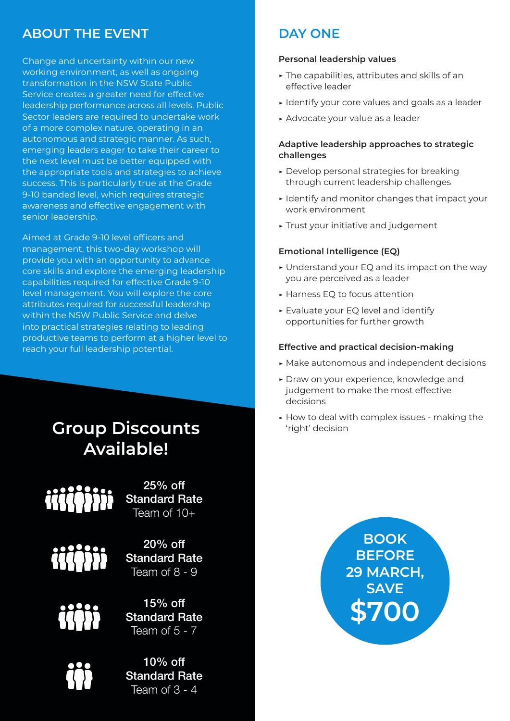## **ABOUT THE EVENT**

Change and uncertainty within our new working environment, as well as ongoing transformation in the NSW State Public Service creates a greater need for effective leadership performance across all levels. Public Sector leaders are required to undertake work of a more complex nature, operating in an autonomous and strategic manner. As such, emerging leaders eager to take their career to the next level must be better equipped with the appropriate tools and strategies to achieve success. This is particularly true at the Grade 9-10 banded level, which requires strategic awareness and effective engagement with senior leadership.

Aimed at Grade 9-10 level officers and management, this two-day workshop will provide you with an opportunity to advance core skills and explore the emerging leadership capabilities required for effective Grade 9-10 level management. You will explore the core attributes required for successful leadership within the NSW Public Service and delve into practical strategies relating to leading productive teams to perform at a higher level to reach your full leadership potential.

# **Group Discounts Constants Constants Available!**



25% off Standard Rate Team of 10+



20% off Standard Rate Team of 8 - 9



15% off Standard Rate Team of  $5 - 7$ 



10% off Standard Rate Team of 3 - 4

# **DAY ONE**

#### **Personal leadership values**

- **▶** The capabilities, attributes and skills of an effective leader
- **▶** Identify your core values and goals as a leader
- **▶** Advocate your value as a leader

#### **Adaptive leadership approaches to strategic challenges**

- **▶** Develop personal strategies for breaking through current leadership challenges
- **▶** Identify and monitor changes that impact your work environment
- **▶** Trust your initiative and judgement

#### **Emotional Intelligence (EQ)**

- **▶** Understand your EQ and its impact on the way you are perceived as a leader
- **▶** Harness EQ to focus attention
- **▶** Evaluate your EQ level and identify opportunities for further growth

#### **Effective and practical decision-making**

- **▶** Make autonomous and independent decisions
- **▶** Draw on your experience, knowledge and judgement to make the most effective decisions
- **▶** How to deal with complex issues making the

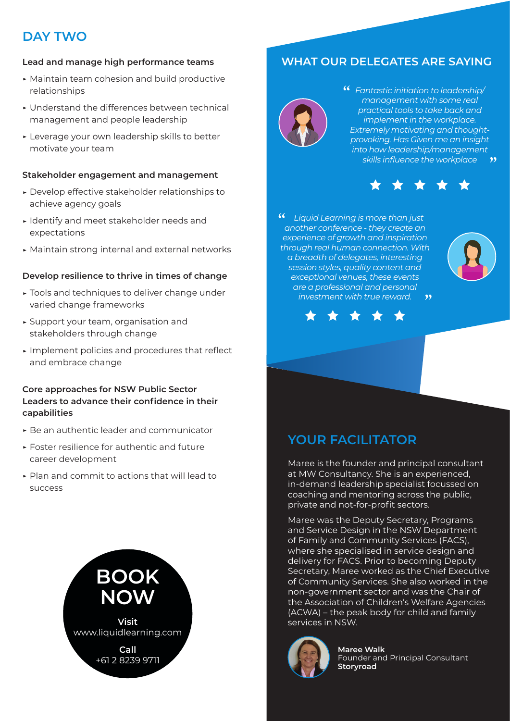# **DAY TWO**

### **Lead and manage high performance teams**

- **▶** Maintain team cohesion and build productive relationships
- **▶** Understand the differences between technical management and people leadership
- **▶** Leverage your own leadership skills to better motivate your team

### **Stakeholder engagement and management**

- **▶** Develop effective stakeholder relationships to achieve agency goals
- **▶** Identify and meet stakeholder needs and expectations
- **▶** Maintain strong internal and external networks

#### **Develop resilience to thrive in times of change**

- **▶** Tools and techniques to deliver change under varied change frameworks
- **▶** Support your team, organisation and stakeholders through change
- **▶** Implement policies and procedures that reflect and embrace change

#### **Core approaches for NSW Public Sector Leaders to advance their confidence in their capabilities**

- **▶** Be an authentic leader and communicator
- **▶** Foster resilience for authentic and future career development
- **▶** Plan and commit to actions that will lead to success



# **WHAT OUR DELEGATES ARE SAYING**



*Fantastic initiation to leadership/ management with some real practical tools to take back and implement in the workplace. Extremely motivating and thoughtprovoking. Has Given me an insight into how leadership/management skills influence the workplace*  $\bullet$ 



 $\boldsymbol{66}$  *Liquid Learning is more than just another conference - they create an experience of growth and inspiration through real human connection. With a breadth of delegates, interesting session styles, quality content and exceptional venues, these events are a professional and personal investment with true reward.*  $\overline{\mathbf{y}}$ 





## **YOUR FACILITATOR**

Maree is the founder and principal consultant at MW Consultancy. She is an experienced, in-demand leadership specialist focussed on coaching and mentoring across the public, private and not-for-profit sectors.

Maree was the Deputy Secretary, Programs and Service Design in the NSW Department of Family and Community Services (FACS), where she specialised in service design and delivery for FACS. Prior to becoming Deputy Secretary, Maree worked as the Chief Executive of Community Services. She also worked in the non-government sector and was the Chair of the Association of Children's Welfare Agencies (ACWA) – the peak body for child and family services in NSW.



**Maree Walk** Founder and Principal Consultant **Storyroad**